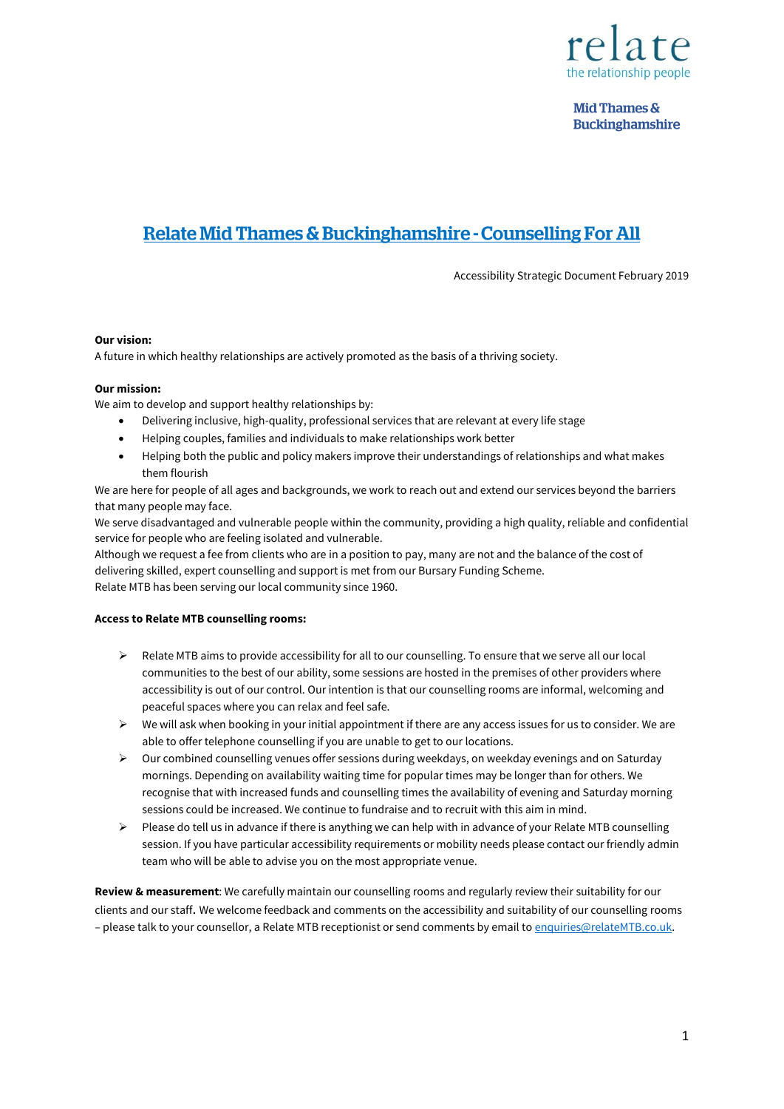

**Mid Thames & Buckinghamshire** 

# Relate Mid Thames & Buckinghamshire - Counselling For All

Accessibility Strategic Document February 2019

# **Our vision:**

A future in which healthy relationships are actively promoted as the basis of a thriving society.

#### **Our mission:**

We aim to develop and support healthy relationships by:

- Delivering inclusive, high-quality, professional services that are relevant at every life stage
- Helping couples, families and individuals to make relationships work better
- Helping both the public and policy makers improve their understandings of relationships and what makes them flourish

We are here for people of all ages and backgrounds, we work to reach out and extend our services beyond the barriers that many people may face.

We serve disadvantaged and vulnerable people within the community, providing a high quality, reliable and confidential service for people who are feeling isolated and vulnerable.

Although we request a fee from clients who are in a position to pay, many are not and the balance of the cost of delivering skilled, expert counselling and support is met from our Bursary Funding Scheme. Relate MTB has been serving our local community since 1960.

#### **Access to Relate MTB counselling rooms:**

- $\triangleright$  Relate MTB aims to provide accessibility for all to our counselling. To ensure that we serve all our local communities to the best of our ability, some sessions are hosted in the premises of other providers where accessibility is out of our control. Our intention is that our counselling rooms are informal, welcoming and peaceful spaces where you can relax and feel safe.
- $\triangleright$  We will ask when booking in your initial appointment if there are any access issues for us to consider. We are able to offer telephone counselling if you are unable to get to our locations.
- $\triangleright$  Our combined counselling venues offer sessions during weekdays, on weekday evenings and on Saturday mornings. Depending on availability waiting time for popular times may be longer than for others. We recognise that with increased funds and counselling times the availability of evening and Saturday morning sessions could be increased. We continue to fundraise and to recruit with this aim in mind.
- $\triangleright$  Please do tell us in advance if there is anything we can help with in advance of your Relate MTB counselling session. If you have particular accessibility requirements or mobility needs please contact our friendly admin team who will be able to advise you on the most appropriate venue.

**Review & measurement**: We carefully maintain our counselling rooms and regularly review their suitability for our clients and our staff. We welcome feedback and comments on the accessibility and suitability of our counselling rooms – please talk to your counsellor, a Relate MTB receptionist or send comments by email t[o enquiries@relateMTB.co.uk.](mailto:enquiries@relateMTB.co.uk)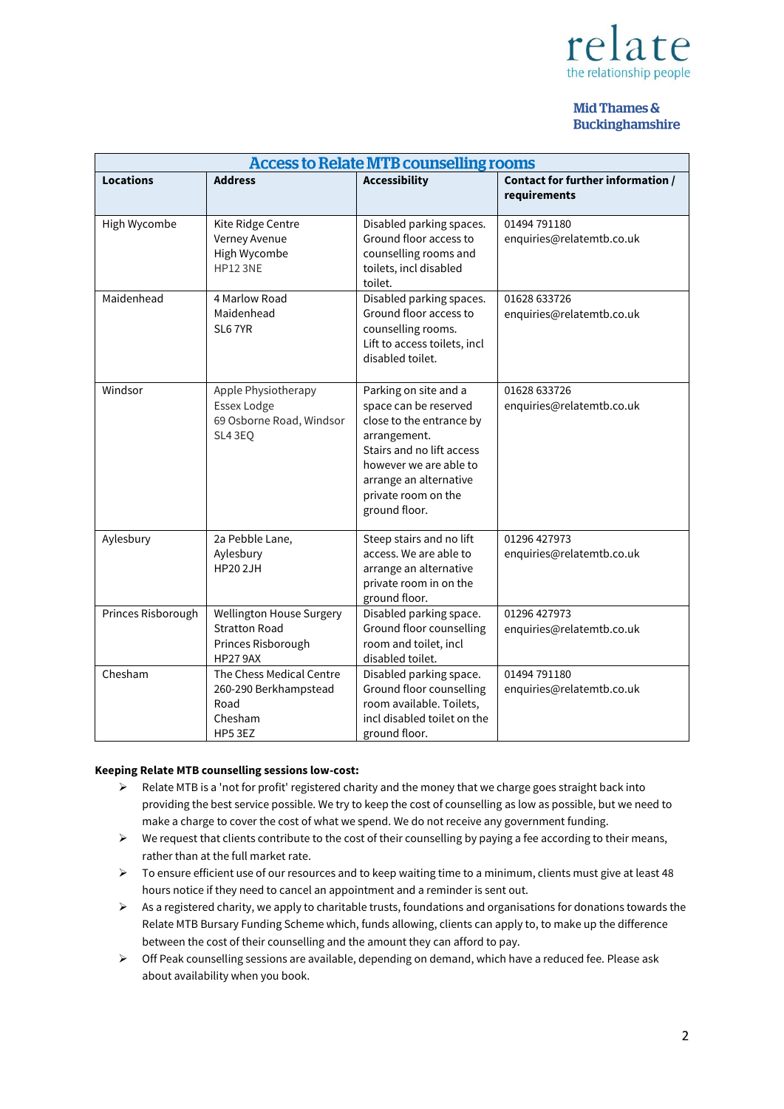

# Mid Thames & **Buckinghamshire**

| <b>Access to Relate MTB counselling rooms</b> |                                                                                           |                                                                                                                                                                                                                     |                                                   |
|-----------------------------------------------|-------------------------------------------------------------------------------------------|---------------------------------------------------------------------------------------------------------------------------------------------------------------------------------------------------------------------|---------------------------------------------------|
| <b>Locations</b>                              | <b>Address</b>                                                                            | <b>Accessibility</b>                                                                                                                                                                                                | Contact for further information /<br>requirements |
| High Wycombe                                  | Kite Ridge Centre<br>Verney Avenue<br>High Wycombe<br><b>HP12 3NE</b>                     | Disabled parking spaces.<br>Ground floor access to<br>counselling rooms and<br>toilets, incl disabled<br>toilet.                                                                                                    | 01494 791180<br>enquiries@relatemtb.co.uk         |
| Maidenhead                                    | 4 Marlow Road<br>Maidenhead<br>SL67YR                                                     | Disabled parking spaces.<br>Ground floor access to<br>counselling rooms.<br>Lift to access toilets, incl<br>disabled toilet.                                                                                        | 01628 633726<br>enquiries@relatemtb.co.uk         |
| Windsor                                       | Apple Physiotherapy<br>Essex Lodge<br>69 Osborne Road, Windsor<br>SL4 3EQ                 | Parking on site and a<br>space can be reserved<br>close to the entrance by<br>arrangement.<br>Stairs and no lift access<br>however we are able to<br>arrange an alternative<br>private room on the<br>ground floor. | 01628 633726<br>enquiries@relatemtb.co.uk         |
| Aylesbury                                     | 2a Pebble Lane,<br>Aylesbury<br><b>HP202JH</b>                                            | Steep stairs and no lift<br>access. We are able to<br>arrange an alternative<br>private room in on the<br>ground floor.                                                                                             | 01296 427973<br>enquiries@relatemtb.co.uk         |
| Princes Risborough                            | Wellington House Surgery<br><b>Stratton Road</b><br>Princes Risborough<br><b>HP27 9AX</b> | Disabled parking space.<br>Ground floor counselling<br>room and toilet, incl<br>disabled toilet.                                                                                                                    | 01296 427973<br>enquiries@relatemtb.co.uk         |
| Chesham                                       | The Chess Medical Centre<br>260-290 Berkhampstead<br>Road<br>Chesham<br>HP5 3EZ           | Disabled parking space.<br>Ground floor counselling<br>room available. Toilets,<br>incl disabled toilet on the<br>ground floor.                                                                                     | 01494 791180<br>enquiries@relatemtb.co.uk         |

# **Keeping Relate MTB counselling sessions low-cost:**

- $\triangleright$  Relate MTB is a 'not for profit' registered charity and the money that we charge goes straight back into providing the best service possible. We try to keep the cost of counselling as low as possible, but we need to make a charge to cover the cost of what we spend. We do not receive any government funding.
- $\triangleright$  We request that clients contribute to the cost of their counselling by paying a fee according to their means, rather than at the full market rate.
- $\triangleright$  To ensure efficient use of our resources and to keep waiting time to a minimum, clients must give at least 48 hours notice if they need to cancel an appointment and a reminder is sent out.
- $\triangleright$  As a registered charity, we apply to charitable trusts, foundations and organisations for donations towards the Relate MTB Bursary Funding Scheme which, funds allowing, clients can apply to, to make up the difference between the cost of their counselling and the amount they can afford to pay.
- Off Peak counselling sessions are available, depending on demand, which have a reduced fee. Please ask about availability when you book.